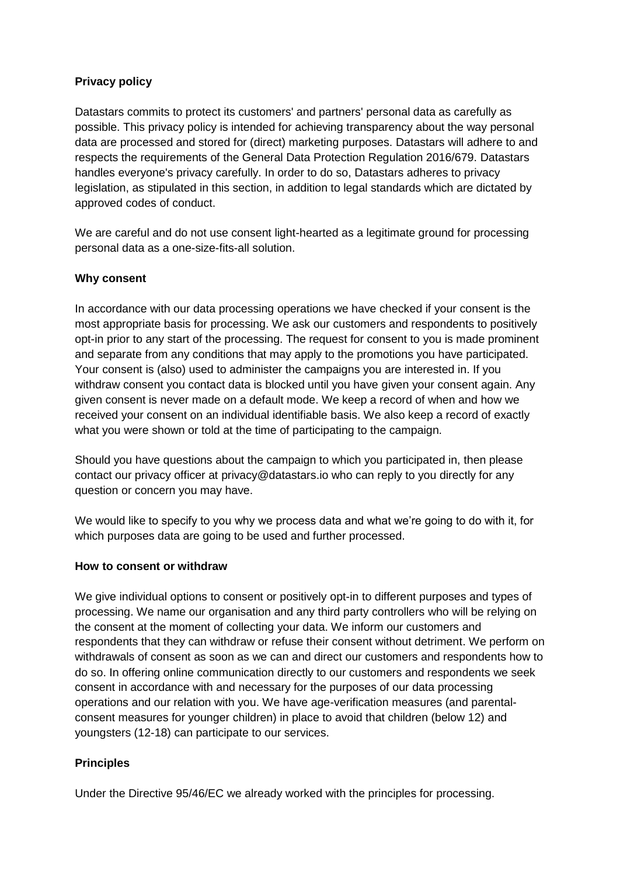### **Privacy policy**

Datastars commits to protect its customers' and partners' personal data as carefully as possible. This privacy policy is intended for achieving transparency about the way personal data are processed and stored for (direct) marketing purposes. Datastars will adhere to and respects the requirements of the General Data Protection Regulation 2016/679. Datastars handles everyone's privacy carefully. In order to do so, Datastars adheres to privacy legislation, as stipulated in this section, in addition to legal standards which are dictated by approved codes of conduct.

We are careful and do not use consent light-hearted as a legitimate ground for processing personal data as a one-size-fits-all solution.

### **Why consent**

In accordance with our data processing operations we have checked if your consent is the most appropriate basis for processing. We ask our customers and respondents to positively opt-in prior to any start of the processing. The request for consent to you is made prominent and separate from any conditions that may apply to the promotions you have participated. Your consent is (also) used to administer the campaigns you are interested in. If you withdraw consent you contact data is blocked until you have given your consent again. Any given consent is never made on a default mode. We keep a record of when and how we received your consent on an individual identifiable basis. We also keep a record of exactly what you were shown or told at the time of participating to the campaign.

Should you have questions about the campaign to which you participated in, then please contact our privacy officer at privacy@datastars.io who can reply to you directly for any question or concern you may have.

We would like to specify to you why we process data and what we're going to do with it, for which purposes data are going to be used and further processed.

#### **How to consent or withdraw**

We give individual options to consent or positively opt-in to different purposes and types of processing. We name our organisation and any third party controllers who will be relying on the consent at the moment of collecting your data. We inform our customers and respondents that they can withdraw or refuse their consent without detriment. We perform on withdrawals of consent as soon as we can and direct our customers and respondents how to do so. In offering online communication directly to our customers and respondents we seek consent in accordance with and necessary for the purposes of our data processing operations and our relation with you. We have age-verification measures (and parentalconsent measures for younger children) in place to avoid that children (below 12) and youngsters (12-18) can participate to our services.

#### **Principles**

Under the Directive 95/46/EC we already worked with the principles for processing.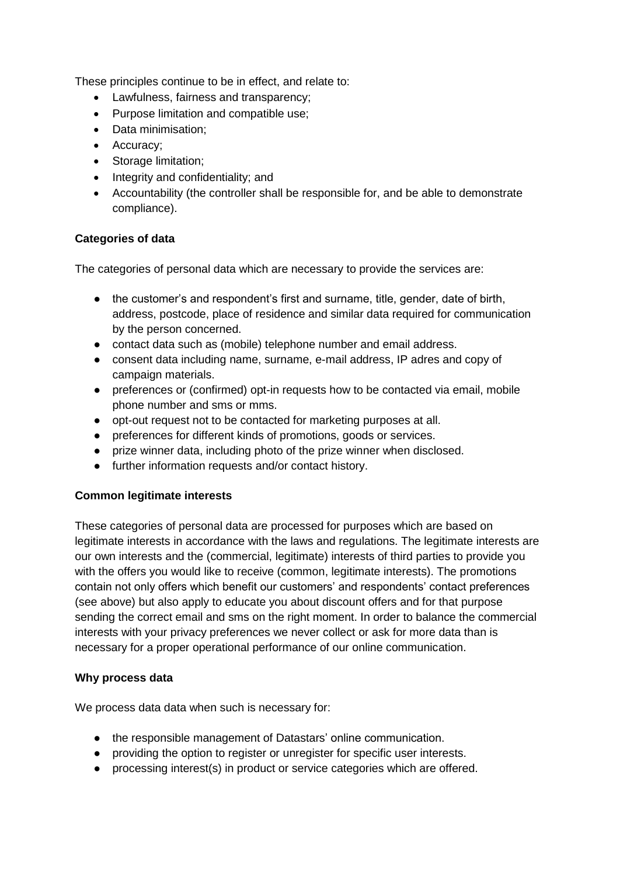These principles continue to be in effect, and relate to:

- Lawfulness, fairness and transparency;
- Purpose limitation and compatible use;
- Data minimisation;
- Accuracy;
- Storage limitation;
- Integrity and confidentiality; and
- Accountability (the controller shall be responsible for, and be able to demonstrate compliance).

# **Categories of data**

The categories of personal data which are necessary to provide the services are:

- the customer's and respondent's first and surname, title, gender, date of birth, address, postcode, place of residence and similar data required for communication by the person concerned.
- contact data such as (mobile) telephone number and email address.
- consent data including name, surname, e-mail address, IP adres and copy of campaign materials.
- preferences or (confirmed) opt-in requests how to be contacted via email, mobile phone number and sms or mms.
- opt-out request not to be contacted for marketing purposes at all.
- preferences for different kinds of promotions, goods or services.
- prize winner data, including photo of the prize winner when disclosed.
- further information requests and/or contact history.

# **Common legitimate interests**

These categories of personal data are processed for purposes which are based on legitimate interests in accordance with the laws and regulations. The legitimate interests are our own interests and the (commercial, legitimate) interests of third parties to provide you with the offers you would like to receive (common, legitimate interests). The promotions contain not only offers which benefit our customers' and respondents' contact preferences (see above) but also apply to educate you about discount offers and for that purpose sending the correct email and sms on the right moment. In order to balance the commercial interests with your privacy preferences we never collect or ask for more data than is necessary for a proper operational performance of our online communication.

# **Why process data**

We process data data when such is necessary for:

- the responsible management of Datastars' online communication.
- providing the option to register or unregister for specific user interests.
- processing interest(s) in product or service categories which are offered.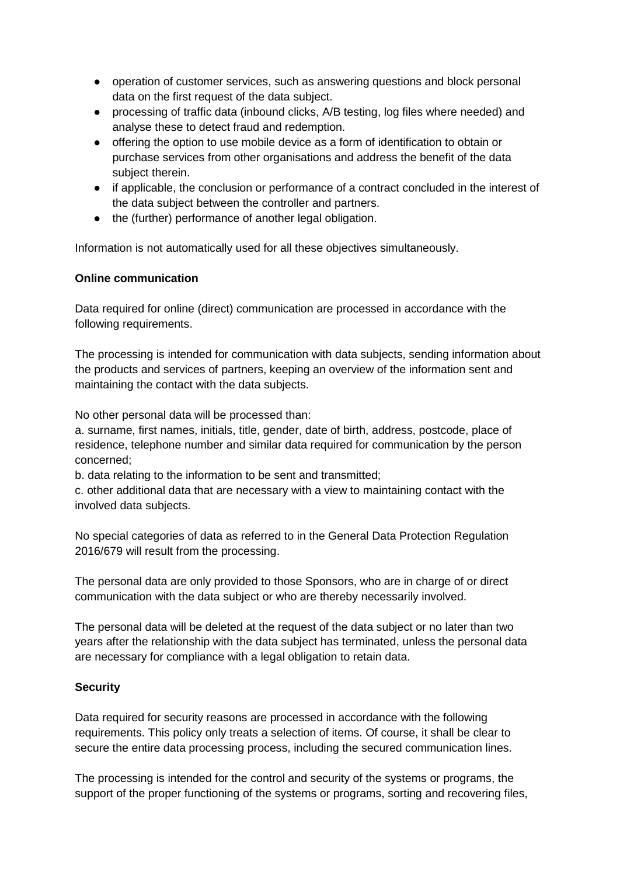- operation of customer services, such as answering questions and block personal data on the first request of the data subject.
- processing of traffic data (inbound clicks, A/B testing, log files where needed) and analyse these to detect fraud and redemption.
- offering the option to use mobile device as a form of identification to obtain or purchase services from other organisations and address the benefit of the data subject therein.
- if applicable, the conclusion or performance of a contract concluded in the interest of the data subject between the controller and partners.
- the (further) performance of another legal obligation.

Information is not automatically used for all these objectives simultaneously.

# **Online communication**

Data required for online (direct) communication are processed in accordance with the following requirements.

The processing is intended for communication with data subjects, sending information about the products and services of partners, keeping an overview of the information sent and maintaining the contact with the data subjects.

No other personal data will be processed than:

a. surname, first names, initials, title, gender, date of birth, address, postcode, place of residence, telephone number and similar data required for communication by the person concerned;

b. data relating to the information to be sent and transmitted;

c. other additional data that are necessary with a view to maintaining contact with the involved data subjects.

No special categories of data as referred to in the General Data Protection Regulation 2016/679 will result from the processing.

The personal data are only provided to those Sponsors, who are in charge of or direct communication with the data subject or who are thereby necessarily involved.

The personal data will be deleted at the request of the data subject or no later than two years after the relationship with the data subject has terminated, unless the personal data are necessary for compliance with a legal obligation to retain data.

# **Security**

Data required for security reasons are processed in accordance with the following requirements. This policy only treats a selection of items. Of course, it shall be clear to secure the entire data processing process, including the secured communication lines.

The processing is intended for the control and security of the systems or programs, the support of the proper functioning of the systems or programs, sorting and recovering files,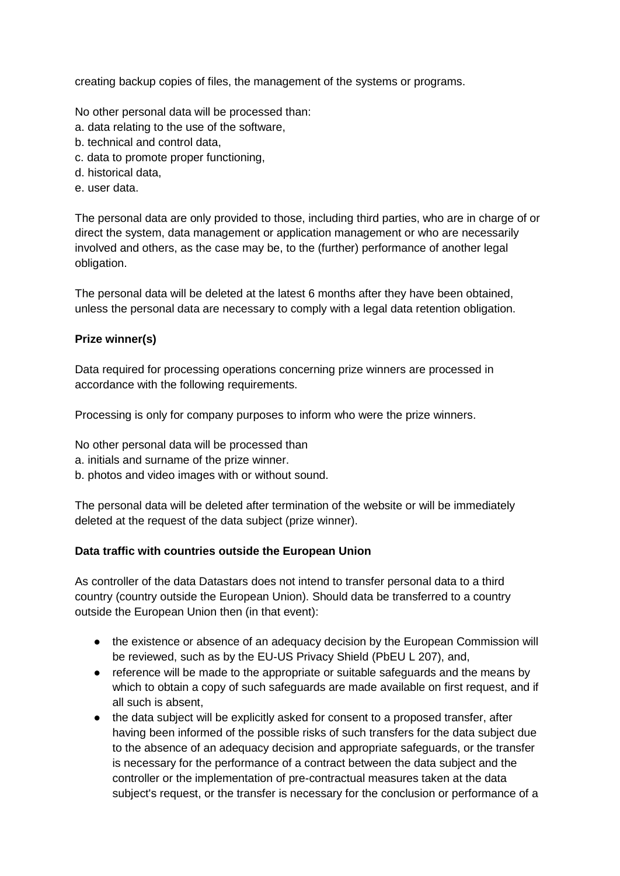creating backup copies of files, the management of the systems or programs.

No other personal data will be processed than:

- a. data relating to the use of the software,
- b. technical and control data,
- c. data to promote proper functioning,
- d. historical data,
- e. user data.

The personal data are only provided to those, including third parties, who are in charge of or direct the system, data management or application management or who are necessarily involved and others, as the case may be, to the (further) performance of another legal obligation.

The personal data will be deleted at the latest 6 months after they have been obtained, unless the personal data are necessary to comply with a legal data retention obligation.

### **Prize winner(s)**

Data required for processing operations concerning prize winners are processed in accordance with the following requirements.

Processing is only for company purposes to inform who were the prize winners.

No other personal data will be processed than

- a. initials and surname of the prize winner.
- b. photos and video images with or without sound.

The personal data will be deleted after termination of the website or will be immediately deleted at the request of the data subject (prize winner).

# **Data traffic with countries outside the European Union**

As controller of the data Datastars does not intend to transfer personal data to a third country (country outside the European Union). Should data be transferred to a country outside the European Union then (in that event):

- the existence or absence of an adequacy decision by the European Commission will be reviewed, such as by the EU-US Privacy Shield (PbEU L 207), and,
- reference will be made to the appropriate or suitable safeguards and the means by which to obtain a copy of such safeguards are made available on first request, and if all such is absent,
- the data subject will be explicitly asked for consent to a proposed transfer, after having been informed of the possible risks of such transfers for the data subject due to the absence of an adequacy decision and appropriate safeguards, or the transfer is necessary for the performance of a contract between the data subject and the controller or the implementation of pre-contractual measures taken at the data subject's request, or the transfer is necessary for the conclusion or performance of a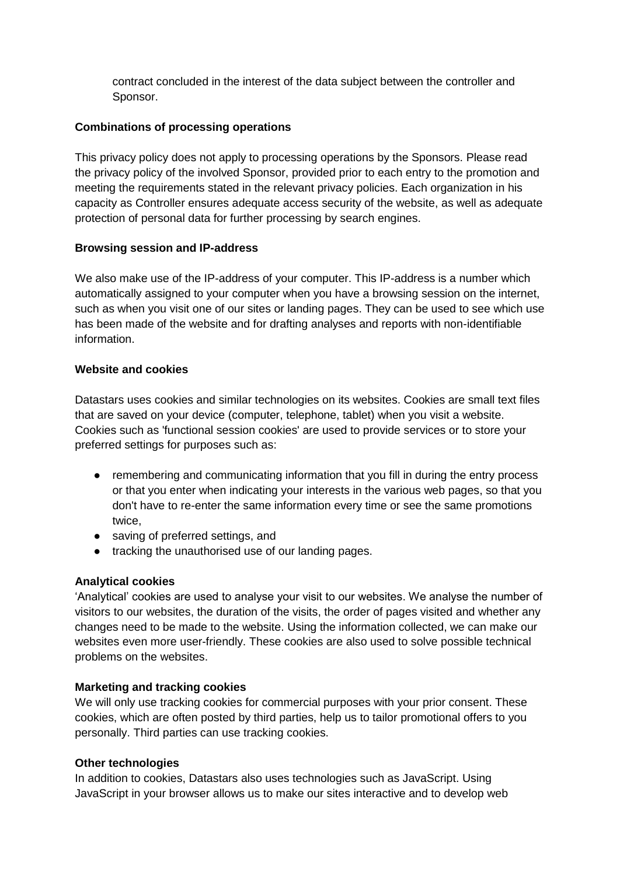contract concluded in the interest of the data subject between the controller and Sponsor.

#### **Combinations of processing operations**

This privacy policy does not apply to processing operations by the Sponsors. Please read the privacy policy of the involved Sponsor, provided prior to each entry to the promotion and meeting the requirements stated in the relevant privacy policies. Each organization in his capacity as Controller ensures adequate access security of the website, as well as adequate protection of personal data for further processing by search engines.

#### **Browsing session and IP-address**

We also make use of the IP-address of your computer. This IP-address is a number which automatically assigned to your computer when you have a browsing session on the internet, such as when you visit one of our sites or landing pages. They can be used to see which use has been made of the website and for drafting analyses and reports with non-identifiable information.

#### **Website and cookies**

Datastars uses cookies and similar technologies on its websites. Cookies are small text files that are saved on your device (computer, telephone, tablet) when you visit a website. Cookies such as 'functional session cookies' are used to provide services or to store your preferred settings for purposes such as:

- remembering and communicating information that you fill in during the entry process or that you enter when indicating your interests in the various web pages, so that you don't have to re-enter the same information every time or see the same promotions twice,
- saving of preferred settings, and
- tracking the unauthorised use of our landing pages.

# **Analytical cookies**

'Analytical' cookies are used to analyse your visit to our websites. We analyse the number of visitors to our websites, the duration of the visits, the order of pages visited and whether any changes need to be made to the website. Using the information collected, we can make our websites even more user-friendly. These cookies are also used to solve possible technical problems on the websites.

#### **Marketing and tracking cookies**

We will only use tracking cookies for commercial purposes with your prior consent. These cookies, which are often posted by third parties, help us to tailor promotional offers to you personally. Third parties can use tracking cookies.

#### **Other technologies**

In addition to cookies, Datastars also uses technologies such as JavaScript. Using JavaScript in your browser allows us to make our sites interactive and to develop web